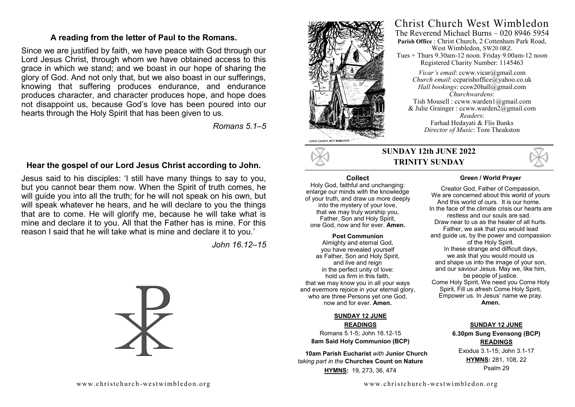#### **A reading from the letter of Paul to the Romans.**

Since we are justified by faith, we have peace with God through our Lord Jesus Christ, through whom we have obtained access to this grace in which we stand; and we boast in our hope of sharing the glory of God. And not only that, but we also boast in our sufferings, knowing that suffering produces endurance, and endurance produces character, and character produces hope, and hope does not disappoint us, because God's love has been poured into our hearts through the Holy Spirit that has been given to us.

*Romans 5.1–5*

#### **Hear the gospel of our Lord Jesus Christ according to John.**

Jesus said to his disciples: 'I still have many things to say to you, but you cannot bear them now. When the Spirit of truth comes, he will guide you into all the truth; for he will not speak on his own, but will speak whatever he hears, and he will declare to you the things that are to come. He will glorify me, because he will take what is mine and declare it to you. All that the Father has is mine. For this reason I said that he will take what is mine and declare it to you.'

*John 16.12–15*





## CHRIST CHURCH, WEST WIMBLEDON

#### **SUNDAY 12th JUNE 2022 TRINITY SUNDAY**

#### **Collect**

Holy God, faithful and unchanging: enlarge our minds with the knowledge of your truth, and draw us more deeply into the mystery of your love, that we may truly worship you, Father, Son and Holy Spirit, one God, now and for ever. **Amen.** 

**Post Communion**  Almighty and eternal God, you have revealed yourself as Father, Son and Holy Spirit, and live and reign in the perfect unity of love: hold us firm in this faith, that we may know you in all your ways and evermore rejoice in your eternal glory, who are three Persons yet one God, now and for ever. **Amen.**

#### **SUNDAY 12 JUNE READINGS**

Romans 5.1-5; John 16.12-15 **8am Said Holy Communion (BCP)** 

 **10am Parish Eucharist** *with* **Junior Church**  *taking part in the* **Churches Count on Nature HYMNS:** 19, 273, 36, 474



#### **Green / World Prayer**

Christ Church West Wimbledon The Reverend Michael Burns – 020 8946 5954 **Parish Office** : Christ Church, 2 Cottenham Park Road, West Wimbledon, SW20 0RZ. Tues + Thurs 9.30am-12 noon. Friday 9.00am-12 noon Registered Charity Number: 1145463 *Vicar's email*: ccww.vicar@gmail.com *Church email:* ccparishoffice@yahoo.co.uk *Hall bookings*: ccsw20hall@gmail.com *Churchwardens*: Tish Mousell : ccww.warden1@gmail.com & Julie Grainger : ccww.warden2@gmail.com *Readers*: Farhad Hedayati & Flis Banks *Director of Music*: Tom Theakston

> Creator God, Father of Compassion, We are concerned about this world of yours And this world of ours. It is our home. In the face of the climate crisis our hearts are restless and our souls are sad. Draw near to us as the healer of all hurts. Father, we ask that you would lead and guide us, by the power and compassion of the Holy Spirit. In these strange and difficult days, we ask that you would mould us and shape us into the image of your son, and our saviour Jesus. May we, like him, be people of justice. Come Holy Spirit, We need you Come Holy Spirit, Fill us afresh Come Holy Spirit, Empower us. In Jesus' name we pray. **Amen.**

#### **SUNDAY 12 JUNE 6.30pm Sung Evensong (BCP) READINGS** Exodus 3.1-15; John 3.1-17 **HYMNS:** 281, 108, 22 Psalm 29

www.christchurch-westwimbled on.org www.christchurch-westwimbled on.org